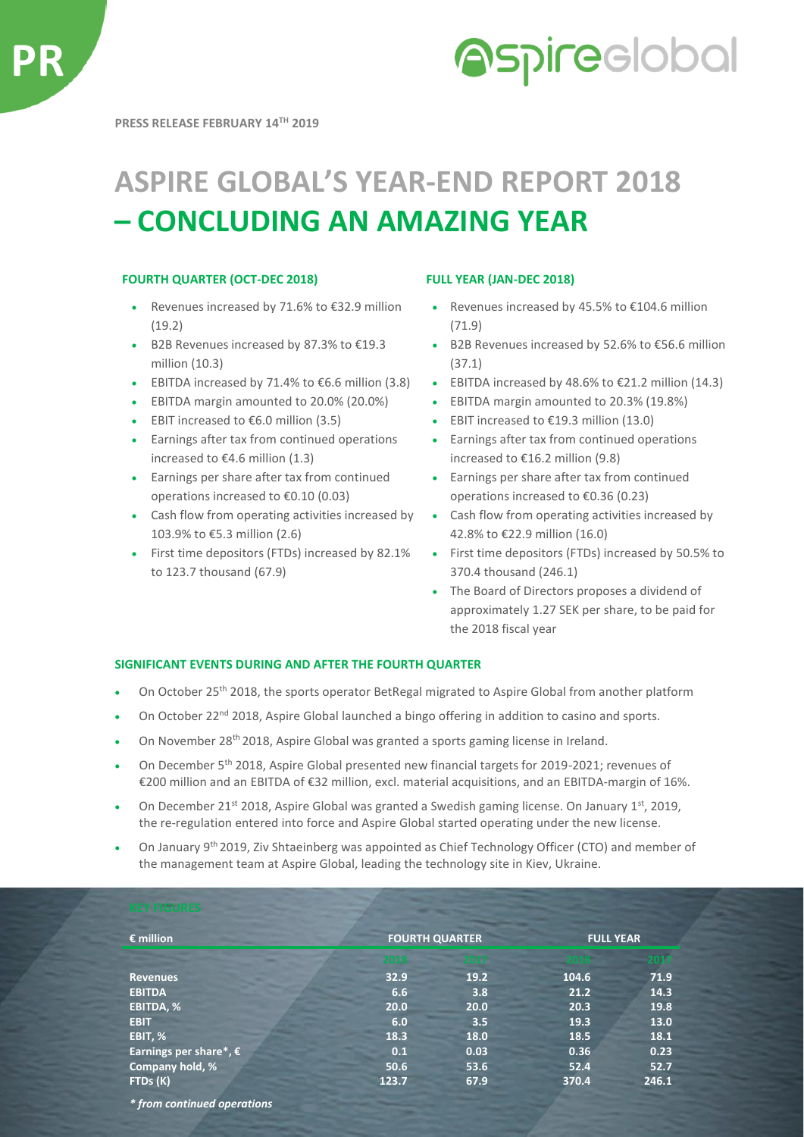

# **Aspireclobal**

**PRESS RELEASE FEBRUARY 14TH 2019**

## **ASPIRE GLOBAL'S YEAR-END REPORT 2018 – CONCLUDING AN AMAZING YEAR**

### **FOURTH QUARTER (OCT-DEC 2018) FULL YEAR (JAN-DEC 2018)**

- Revenues increased by 71.6% to €32.9 million (19.2)
- B2B Revenues increased by 87.3% to €19.3 million (10.3)
- 
- EBITDA margin amounted to 20.0% (20.0%) EBITDA margin amounted to 20.3% (19.8%)
- 
- Earnings after tax from continued operations increased to €4.6 million (1.3)
- Earnings per share after tax from continued operations increased to €0.10 (0.03)
- Cash flow from operating activities increased by 103.9% to €5.3 million (2.6)
- First time depositors (FTDs) increased by 82.1% to 123.7 thousand (67.9)

- Revenues increased by 45.5% to €104.6 million (71.9)
- B2B Revenues increased by 52.6% to €56.6 million (37.1)
- EBITDA increased by 71.4% to €6.6 million  $(3.8)$  EBITDA increased by 48.6% to €21.2 million  $(14.3)$ 
	-
- EBIT increased to €6.0 million (3.5) EBIT increased to €19.3 million (13.0)
	- Earnings after tax from continued operations increased to €16.2 million (9.8)
	- Earnings per share after tax from continued operations increased to €0.36 (0.23)
	- Cash flow from operating activities increased by 42.8% to €22.9 million (16.0)
	- First time depositors (FTDs) increased by 50.5% to 370.4 thousand (246.1)
	- The Board of Directors proposes a dividend of approximately 1.27 SEK per share, to be paid for the 2018 fiscal year

### **SIGNIFICANT EVENTS DURING AND AFTER THE FOURTH QUARTER**

- On October 25<sup>th</sup> 2018, the sports operator BetRegal migrated to Aspire Global from another platform
- On October 22<sup>nd</sup> 2018, Aspire Global launched a bingo offering in addition to casino and sports.
- On November 28<sup>th</sup> 2018, Aspire Global was granted a sports gaming license in Ireland.
- On December 5<sup>th</sup> 2018, Aspire Global presented new financial targets for 2019-2021; revenues of €200 million and an EBITDA of €32 million, excl. material acquisitions, and an EBITDA-margin of 16%.
- On December 21<sup>st</sup> 2018, Aspire Global was granted a Swedish gaming license. On January 1<sup>st</sup>, 2019, the re-regulation entered into force and Aspire Global started operating under the new license.
- On January 9<sup>th</sup> 2019, Ziv Shtaeinberg was appointed as Chief Technology Officer (CTO) and member of the management team at Aspire Global, leading the technology site in Kiev, Ukraine.

| € million                       | <b>FOURTH QUARTER</b> |      | <b>FULL YEAR</b> |       |
|---------------------------------|-----------------------|------|------------------|-------|
|                                 | 2018.                 | m    | 2018             | 2017  |
| <b>Revenues</b>                 | 32.9                  | 19.2 | 104.6            | 71.9  |
| <b>EBITDA</b>                   | 6.6                   | 3.8  | 21.2             | 14.3  |
| EBITDA, %                       | 20.0                  | 20.0 | 20.3             | 19.8  |
| <b>EBIT</b>                     | 6.0                   | 3.5  | 19.3             | 13.0  |
| EBIT, %                         | 18.3                  | 18.0 | 18.5             | 18.1  |
| Earnings per share*, $\epsilon$ | 0.1                   | 0.03 | 0.36             | 0.23  |
| Company hold, %                 | 50.6                  | 53.6 | 52.4             | 52.7  |
| FTDs (K)                        | 123.7                 | 67.9 | 370.4            | 246.1 |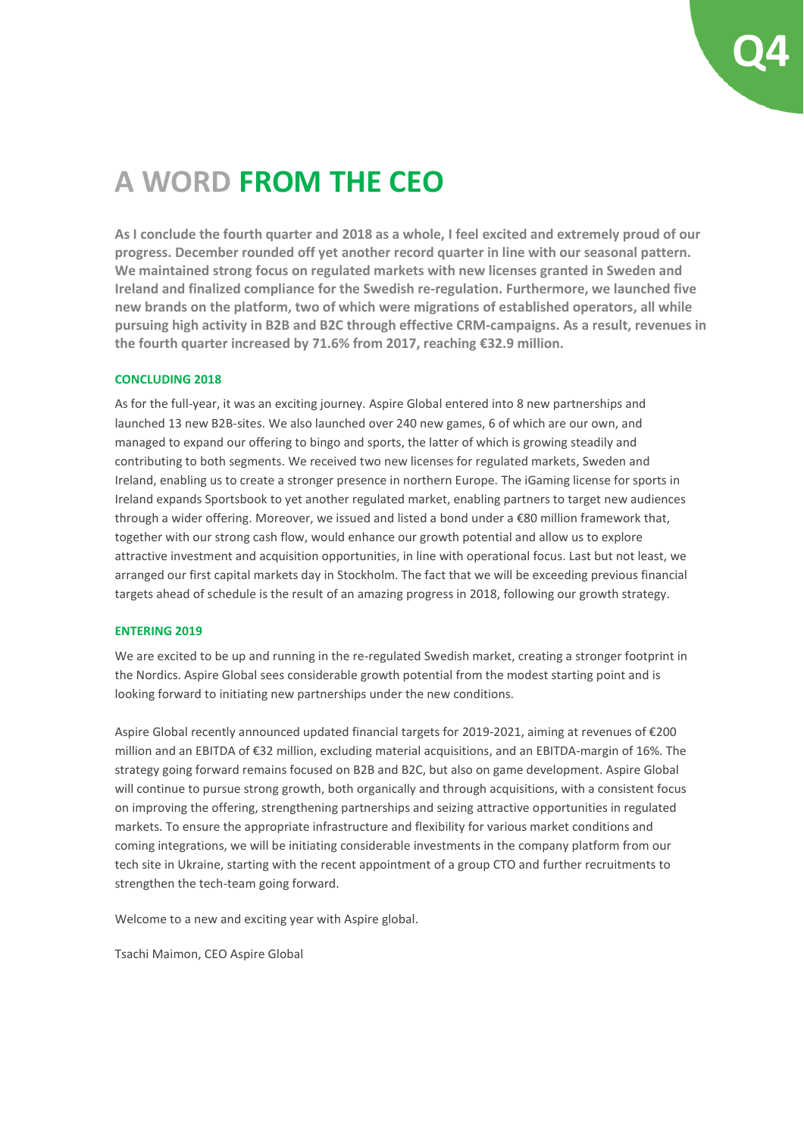

## **A WORD FROM THE CEO**

**As I conclude the fourth quarter and 2018 as a whole, I feel excited and extremely proud of our progress. December rounded off yet another record quarter in line with our seasonal pattern. We maintained strong focus on regulated markets with new licenses granted in Sweden and Ireland and finalized compliance for the Swedish re-regulation. Furthermore, we launched five new brands on the platform, two of which were migrations of established operators, all while pursuing high activity in B2B and B2C through effective CRM-campaigns. As a result, revenues in the fourth quarter increased by 71.6% from 2017, reaching €32.9 million.**

### **CONCLUDING 2018**

As for the full-year, it was an exciting journey. Aspire Global entered into 8 new partnerships and launched 13 new B2B-sites. We also launched over 240 new games, 6 of which are our own, and managed to expand our offering to bingo and sports, the latter of which is growing steadily and contributing to both segments. We received two new licenses for regulated markets, Sweden and Ireland, enabling us to create a stronger presence in northern Europe. The iGaming license for sports in Ireland expands Sportsbook to yet another regulated market, enabling partners to target new audiences through a wider offering. Moreover, we issued and listed a bond under a €80 million framework that, together with our strong cash flow, would enhance our growth potential and allow us to explore attractive investment and acquisition opportunities, in line with operational focus. Last but not least, we arranged our first capital markets day in Stockholm. The fact that we will be exceeding previous financial targets ahead of schedule is the result of an amazing progress in 2018, following our growth strategy.

#### **ENTERING 2019**

We are excited to be up and running in the re-regulated Swedish market, creating a stronger footprint in the Nordics. Aspire Global sees considerable growth potential from the modest starting point and is looking forward to initiating new partnerships under the new conditions.

Aspire Global recently announced updated financial targets for 2019-2021, aiming at revenues of €200 million and an EBITDA of €32 million, excluding material acquisitions, and an EBITDA-margin of 16%. The strategy going forward remains focused on B2B and B2C, but also on game development. Aspire Global will continue to pursue strong growth, both organically and through acquisitions, with a consistent focus on improving the offering, strengthening partnerships and seizing attractive opportunities in regulated markets. To ensure the appropriate infrastructure and flexibility for various market conditions and coming integrations, we will be initiating considerable investments in the company platform from our tech site in Ukraine, starting with the recent appointment of a group CTO and further recruitments to strengthen the tech-team going forward.

Welcome to a new and exciting year with Aspire global.

Tsachi Maimon, CEO Aspire Global